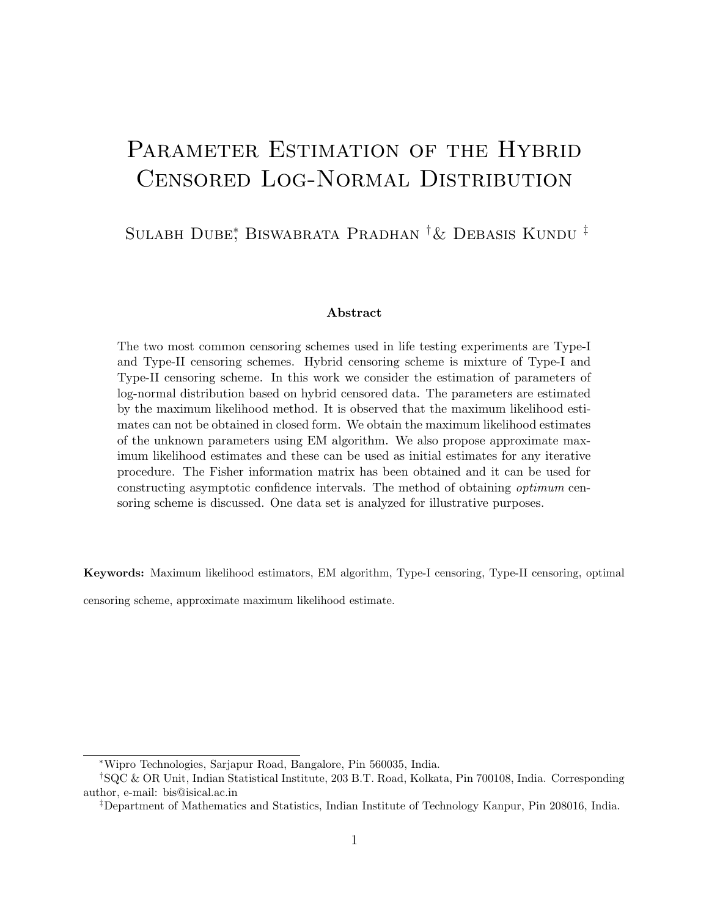# PARAMETER ESTIMATION OF THE HYBRID Censored Log-Normal Distribution

#### Sulabh Dube<sup>∗</sup> , Biswabrata Pradhan †& Debasis Kundu ‡

#### Abstract

The two most common censoring schemes used in life testing experiments are Type-I and Type-II censoring schemes. Hybrid censoring scheme is mixture of Type-I and Type-II censoring scheme. In this work we consider the estimation of parameters of log-normal distribution based on hybrid censored data. The parameters are estimated by the maximum likelihood method. It is observed that the maximum likelihood estimates can not be obtained in closed form. We obtain the maximum likelihood estimates of the unknown parameters using EM algorithm. We also propose approximate maximum likelihood estimates and these can be used as initial estimates for any iterative procedure. The Fisher information matrix has been obtained and it can be used for constructing asymptotic confidence intervals. The method of obtaining optimum censoring scheme is discussed. One data set is analyzed for illustrative purposes.

Keywords: Maximum likelihood estimators, EM algorithm, Type-I censoring, Type-II censoring, optimal

censoring scheme, approximate maximum likelihood estimate.

<sup>∗</sup>Wipro Technologies, Sarjapur Road, Bangalore, Pin 560035, India.

<sup>†</sup>SQC & OR Unit, Indian Statistical Institute, 203 B.T. Road, Kolkata, Pin 700108, India. Corresponding author, e-mail: bis@isical.ac.in

<sup>‡</sup>Department of Mathematics and Statistics, Indian Institute of Technology Kanpur, Pin 208016, India.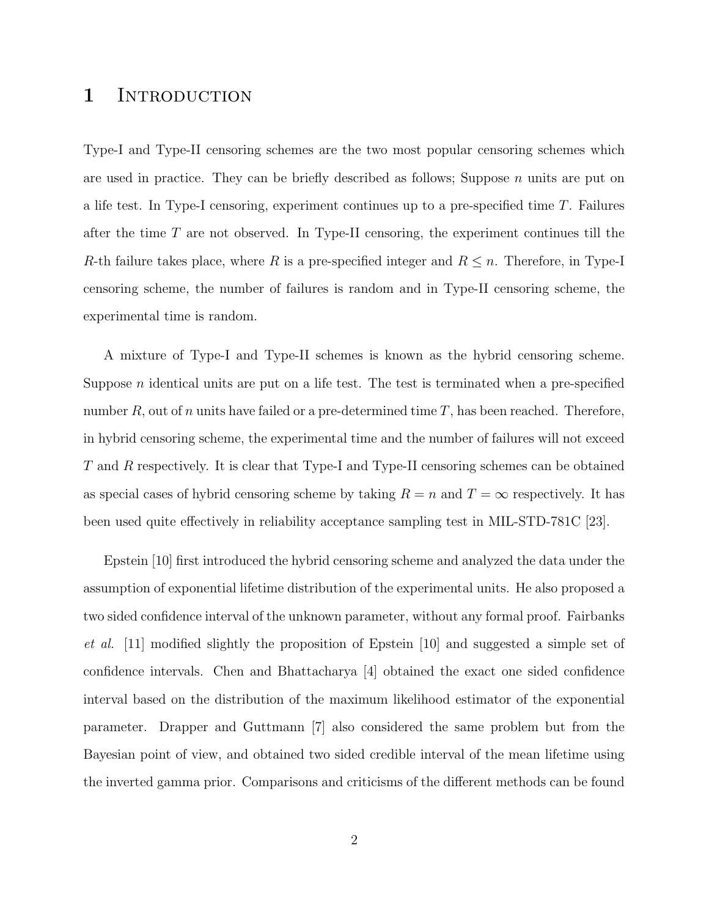#### 1 INTRODUCTION

Type-I and Type-II censoring schemes are the two most popular censoring schemes which are used in practice. They can be briefly described as follows; Suppose  $n$  units are put on a life test. In Type-I censoring, experiment continues up to a pre-specified time T. Failures after the time T are not observed. In Type-II censoring, the experiment continues till the R-th failure takes place, where R is a pre-specified integer and  $R \leq n$ . Therefore, in Type-I censoring scheme, the number of failures is random and in Type-II censoring scheme, the experimental time is random.

A mixture of Type-I and Type-II schemes is known as the hybrid censoring scheme. Suppose  $n$  identical units are put on a life test. The test is terminated when a pre-specified number R, out of n units have failed or a pre-determined time T, has been reached. Therefore, in hybrid censoring scheme, the experimental time and the number of failures will not exceed T and R respectively. It is clear that Type-I and Type-II censoring schemes can be obtained as special cases of hybrid censoring scheme by taking  $R = n$  and  $T = \infty$  respectively. It has been used quite effectively in reliability acceptance sampling test in MIL-STD-781C [23].

Epstein [10] first introduced the hybrid censoring scheme and analyzed the data under the assumption of exponential lifetime distribution of the experimental units. He also proposed a two sided confidence interval of the unknown parameter, without any formal proof. Fairbanks et al. [11] modified slightly the proposition of Epstein [10] and suggested a simple set of confidence intervals. Chen and Bhattacharya [4] obtained the exact one sided confidence interval based on the distribution of the maximum likelihood estimator of the exponential parameter. Drapper and Guttmann [7] also considered the same problem but from the Bayesian point of view, and obtained two sided credible interval of the mean lifetime using the inverted gamma prior. Comparisons and criticisms of the different methods can be found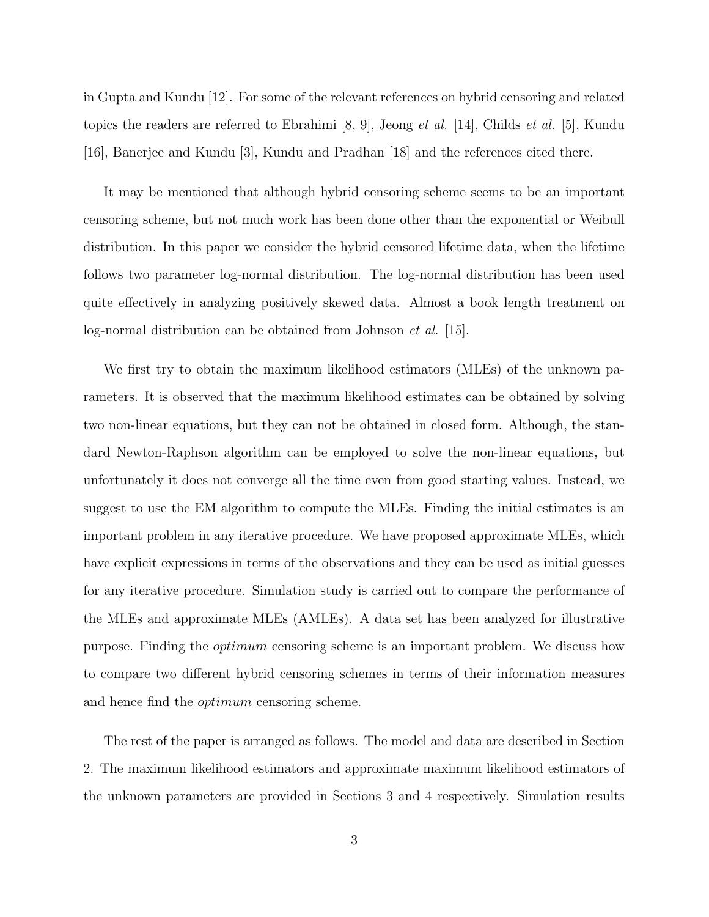in Gupta and Kundu [12]. For some of the relevant references on hybrid censoring and related topics the readers are referred to Ebrahimi  $(8, 9)$ , Jeong *et al.* [14], Childs *et al.* [5], Kundu [16], Banerjee and Kundu [3], Kundu and Pradhan [18] and the references cited there.

It may be mentioned that although hybrid censoring scheme seems to be an important censoring scheme, but not much work has been done other than the exponential or Weibull distribution. In this paper we consider the hybrid censored lifetime data, when the lifetime follows two parameter log-normal distribution. The log-normal distribution has been used quite effectively in analyzing positively skewed data. Almost a book length treatment on log-normal distribution can be obtained from Johnson et al. [15].

We first try to obtain the maximum likelihood estimators (MLEs) of the unknown parameters. It is observed that the maximum likelihood estimates can be obtained by solving two non-linear equations, but they can not be obtained in closed form. Although, the standard Newton-Raphson algorithm can be employed to solve the non-linear equations, but unfortunately it does not converge all the time even from good starting values. Instead, we suggest to use the EM algorithm to compute the MLEs. Finding the initial estimates is an important problem in any iterative procedure. We have proposed approximate MLEs, which have explicit expressions in terms of the observations and they can be used as initial guesses for any iterative procedure. Simulation study is carried out to compare the performance of the MLEs and approximate MLEs (AMLEs). A data set has been analyzed for illustrative purpose. Finding the optimum censoring scheme is an important problem. We discuss how to compare two different hybrid censoring schemes in terms of their information measures and hence find the optimum censoring scheme.

The rest of the paper is arranged as follows. The model and data are described in Section 2. The maximum likelihood estimators and approximate maximum likelihood estimators of the unknown parameters are provided in Sections 3 and 4 respectively. Simulation results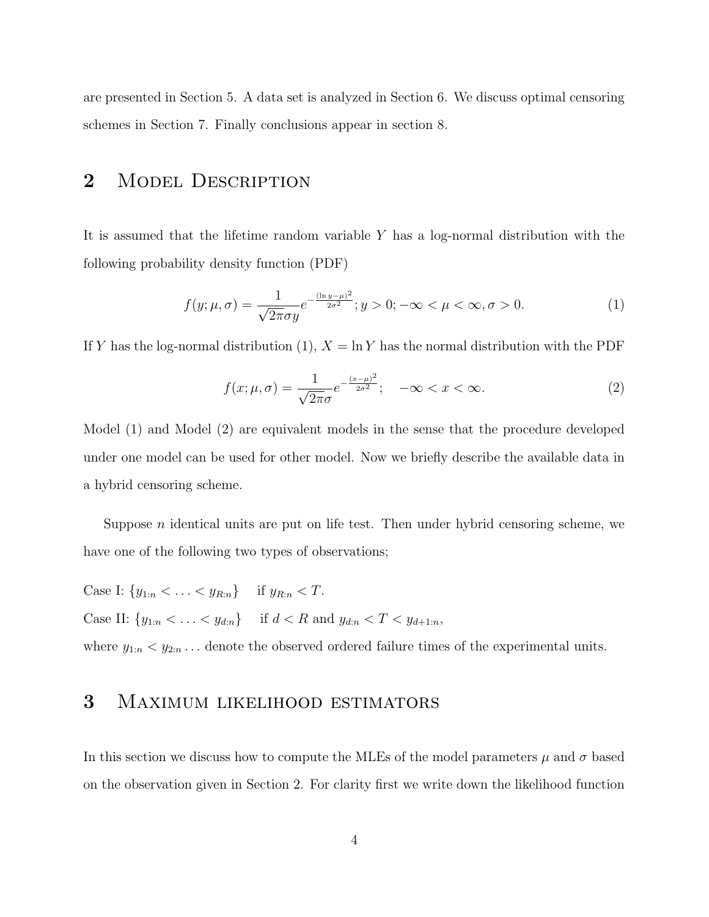are presented in Section 5. A data set is analyzed in Section 6. We discuss optimal censoring schemes in Section 7. Finally conclusions appear in section 8.

#### 2 MODEL DESCRIPTION

It is assumed that the lifetime random variable Y has a log-normal distribution with the following probability density function (PDF)

$$
f(y; \mu, \sigma) = \frac{1}{\sqrt{2\pi}\sigma y} e^{-\frac{(\ln y - \mu)^2}{2\sigma^2}}; y > 0; -\infty < \mu < \infty, \sigma > 0.
$$
 (1)

If Y has the log-normal distribution (1),  $X = \ln Y$  has the normal distribution with the PDF

$$
f(x; \mu, \sigma) = \frac{1}{\sqrt{2\pi}\sigma} e^{-\frac{(x-\mu)^2}{2\sigma^2}}; \quad -\infty < x < \infty. \tag{2}
$$

Model (1) and Model (2) are equivalent models in the sense that the procedure developed under one model can be used for other model. Now we briefly describe the available data in a hybrid censoring scheme.

Suppose  $n$  identical units are put on life test. Then under hybrid censoring scheme, we have one of the following two types of observations;

Case I:  $\{y_{1:n} < \ldots < y_{R:n}\}$  if  $y_{R:n} < T$ . Case II:  $\{y_{1:n} < \ldots < y_{d:n}\}$  if  $d < R$  and  $y_{d:n} < T < y_{d+1:n}$ ,

where  $y_{1:n} < y_{2:n}$ ... denote the observed ordered failure times of the experimental units.

#### 3 Maximum likelihood estimators

In this section we discuss how to compute the MLEs of the model parameters  $\mu$  and  $\sigma$  based on the observation given in Section 2. For clarity first we write down the likelihood function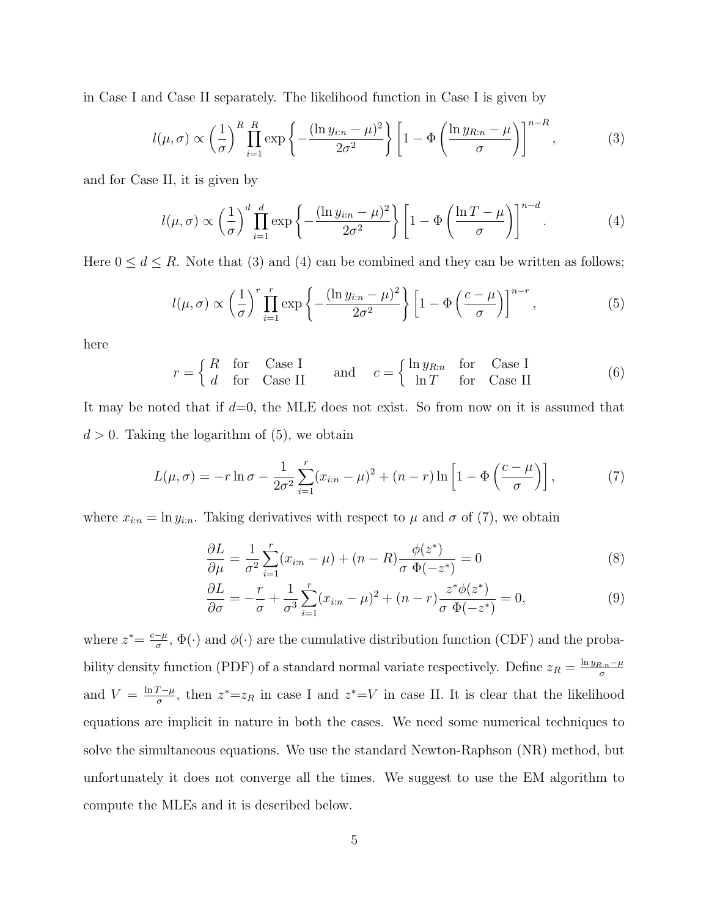in Case I and Case II separately. The likelihood function in Case I is given by

$$
l(\mu,\sigma) \propto \left(\frac{1}{\sigma}\right)^R \prod_{i=1}^R \exp\left\{-\frac{(\ln y_{i:n} - \mu)^2}{2\sigma^2}\right\} \left[1 - \Phi\left(\frac{\ln y_{R:n} - \mu}{\sigma}\right)\right]^{n-R},\tag{3}
$$

and for Case II, it is given by

$$
l(\mu,\sigma) \propto \left(\frac{1}{\sigma}\right)^d \prod_{i=1}^d \exp\left\{-\frac{(\ln y_{i:n} - \mu)^2}{2\sigma^2}\right\} \left[1 - \Phi\left(\frac{\ln T - \mu}{\sigma}\right)\right]^{n-d}.\tag{4}
$$

Here  $0 \le d \le R$ . Note that (3) and (4) can be combined and they can be written as follows;

$$
l(\mu,\sigma) \propto \left(\frac{1}{\sigma}\right)^r \prod_{i=1}^r \exp\left\{-\frac{(\ln y_{i:n} - \mu)^2}{2\sigma^2}\right\} \left[1 - \Phi\left(\frac{c - \mu}{\sigma}\right)\right]^{n-r},\tag{5}
$$

here

$$
r = \begin{cases} R & \text{for} \quad \text{Case I} \\ d & \text{for} \quad \text{Case II} \end{cases} \quad \text{and} \quad c = \begin{cases} \ln y_{R:n} & \text{for} \quad \text{Case I} \\ \ln T & \text{for} \quad \text{Case II} \end{cases} \tag{6}
$$

It may be noted that if  $d=0$ , the MLE does not exist. So from now on it is assumed that  $d > 0$ . Taking the logarithm of  $(5)$ , we obtain

$$
L(\mu, \sigma) = -r \ln \sigma - \frac{1}{2\sigma^2} \sum_{i=1}^r (x_{i:n} - \mu)^2 + (n - r) \ln \left[ 1 - \Phi\left(\frac{c - \mu}{\sigma}\right) \right],
$$
 (7)

where  $x_{i:n} = \ln y_{i:n}$ . Taking derivatives with respect to  $\mu$  and  $\sigma$  of (7), we obtain

$$
\frac{\partial L}{\partial \mu} = \frac{1}{\sigma^2} \sum_{i=1}^r (x_{i:n} - \mu) + (n - R) \frac{\phi(z^*)}{\sigma \Phi(-z^*)} = 0
$$
\n(8)

$$
\frac{\partial L}{\partial \sigma} = -\frac{r}{\sigma} + \frac{1}{\sigma^3} \sum_{i=1}^r (x_{i:n} - \mu)^2 + (n - r) \frac{z^* \phi(z^*)}{\sigma \Phi(-z^*)} = 0,
$$
\n(9)

where  $z^* = \frac{c-\mu}{\sigma}$  $\frac{-\mu}{\sigma}$ ,  $\Phi(\cdot)$  and  $\phi(\cdot)$  are the cumulative distribution function (CDF) and the probability density function (PDF) of a standard normal variate respectively. Define  $z_R = \frac{\ln y_{R:n} - \mu}{\sigma}$ σ and  $V = \frac{\ln T - \mu}{\sigma}$  $\frac{T-\mu}{\sigma}$ , then  $z^* = z_R$  in case I and  $z^* = V$  in case II. It is clear that the likelihood equations are implicit in nature in both the cases. We need some numerical techniques to solve the simultaneous equations. We use the standard Newton-Raphson (NR) method, but unfortunately it does not converge all the times. We suggest to use the EM algorithm to compute the MLEs and it is described below.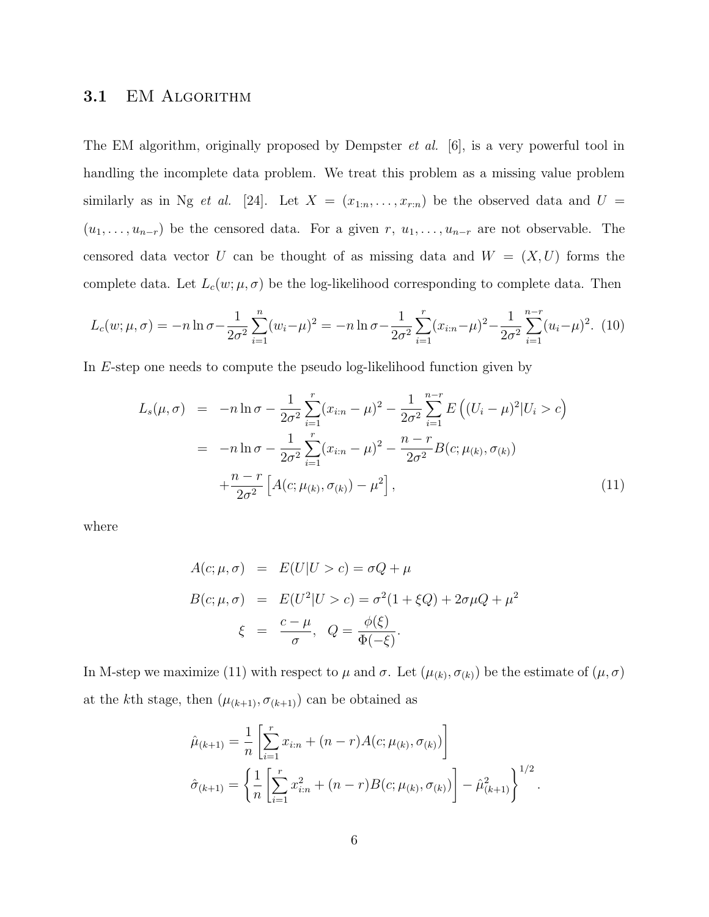#### 3.1 EM ALGORITHM

The EM algorithm, originally proposed by Dempster et al. [6], is a very powerful tool in handling the incomplete data problem. We treat this problem as a missing value problem similarly as in Ng et al. [24]. Let  $X = (x_{1:n},...,x_{r:n})$  be the observed data and  $U =$  $(u_1, \ldots, u_{n-r})$  be the censored data. For a given r,  $u_1, \ldots, u_{n-r}$  are not observable. The censored data vector U can be thought of as missing data and  $W = (X, U)$  forms the complete data. Let  $L_c(w; \mu, \sigma)$  be the log-likelihood corresponding to complete data. Then

$$
L_c(w; \mu, \sigma) = -n \ln \sigma - \frac{1}{2\sigma^2} \sum_{i=1}^n (w_i - \mu)^2 = -n \ln \sigma - \frac{1}{2\sigma^2} \sum_{i=1}^r (x_{i:n} - \mu)^2 - \frac{1}{2\sigma^2} \sum_{i=1}^{n-r} (u_i - \mu)^2.
$$
 (10)

In E-step one needs to compute the pseudo log-likelihood function given by

$$
L_s(\mu, \sigma) = -n \ln \sigma - \frac{1}{2\sigma^2} \sum_{i=1}^r (x_{i:n} - \mu)^2 - \frac{1}{2\sigma^2} \sum_{i=1}^{n-r} E\left( (U_i - \mu)^2 | U_i > c \right)
$$
\n
$$
= -n \ln \sigma - \frac{1}{2\sigma^2} \sum_{i=1}^r (x_{i:n} - \mu)^2 - \frac{n-r}{2\sigma^2} B(c; \mu_{(k)}, \sigma_{(k)})
$$
\n
$$
+ \frac{n-r}{2\sigma^2} \left[ A(c; \mu_{(k)}, \sigma_{(k)}) - \mu^2 \right], \tag{11}
$$

where

$$
A(c; \mu, \sigma) = E(U|U > c) = \sigma Q + \mu
$$
  
\n
$$
B(c; \mu, \sigma) = E(U^2|U > c) = \sigma^2 (1 + \xi Q) + 2\sigma \mu Q + \mu^2
$$
  
\n
$$
\xi = \frac{c - \mu}{\sigma}, \quad Q = \frac{\phi(\xi)}{\Phi(-\xi)}.
$$

In M-step we maximize (11) with respect to  $\mu$  and  $\sigma$ . Let  $(\mu_{(k)}, \sigma_{(k)})$  be the estimate of  $(\mu, \sigma)$ at the kth stage, then  $(\mu_{(k+1)}, \sigma_{(k+1)})$  can be obtained as

$$
\hat{\mu}_{(k+1)} = \frac{1}{n} \left[ \sum_{i=1}^{r} x_{i:n} + (n-r)A(c; \mu_{(k)}, \sigma_{(k)}) \right]
$$

$$
\hat{\sigma}_{(k+1)} = \left\{ \frac{1}{n} \left[ \sum_{i=1}^{r} x_{i:n}^{2} + (n-r)B(c; \mu_{(k)}, \sigma_{(k)}) \right] - \hat{\mu}_{(k+1)}^{2} \right\}^{1/2}.
$$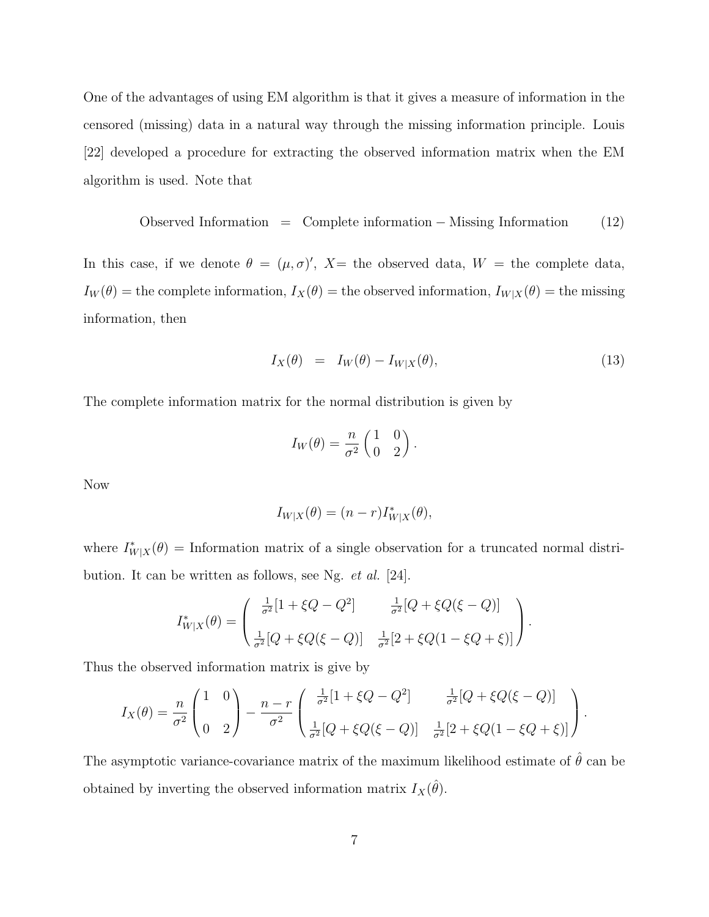One of the advantages of using EM algorithm is that it gives a measure of information in the censored (missing) data in a natural way through the missing information principle. Louis [22] developed a procedure for extracting the observed information matrix when the EM algorithm is used. Note that

$$
Observed Information = Complete information - Mississippi Information (12)
$$

In this case, if we denote  $\theta = (\mu, \sigma)'$ ,  $X =$  the observed data,  $W =$  the complete data,  $I_W(\theta)$  = the complete information,  $I_X(\theta)$  = the observed information,  $I_{W|X}(\theta)$  = the missing information, then

$$
I_X(\theta) = I_W(\theta) - I_{W|X}(\theta), \qquad (13)
$$

The complete information matrix for the normal distribution is given by

$$
I_W(\theta) = \frac{n}{\sigma^2} \begin{pmatrix} 1 & 0 \\ 0 & 2 \end{pmatrix}.
$$

Now

$$
I_{W|X}(\theta) = (n-r)I_{W|X}^*(\theta),
$$

where  $I^*_{W|X}(\theta) =$  Information matrix of a single observation for a truncated normal distribution. It can be written as follows, see Ng. et al. [24].

$$
I_{W|X}^*(\theta) = \begin{pmatrix} \frac{1}{\sigma^2} [1 + \xi Q - Q^2] & \frac{1}{\sigma^2} [Q + \xi Q(\xi - Q)] \\ \frac{1}{\sigma^2} [Q + \xi Q(\xi - Q)] & \frac{1}{\sigma^2} [2 + \xi Q(1 - \xi Q + \xi)] \end{pmatrix}.
$$

Thus the observed information matrix is give by

$$
I_X(\theta) = \frac{n}{\sigma^2} \begin{pmatrix} 1 & 0 \\ 0 & 2 \end{pmatrix} - \frac{n-r}{\sigma^2} \begin{pmatrix} \frac{1}{\sigma^2} [1 + \xi Q - Q^2] & \frac{1}{\sigma^2} [Q + \xi Q(\xi - Q)] \\ \frac{1}{\sigma^2} [Q + \xi Q(\xi - Q)] & \frac{1}{\sigma^2} [2 + \xi Q(1 - \xi Q + \xi)] \end{pmatrix}.
$$

The asymptotic variance-covariance matrix of the maximum likelihood estimate of  $\hat{\theta}$  can be obtained by inverting the observed information matrix  $I_X(\hat{\theta})$ .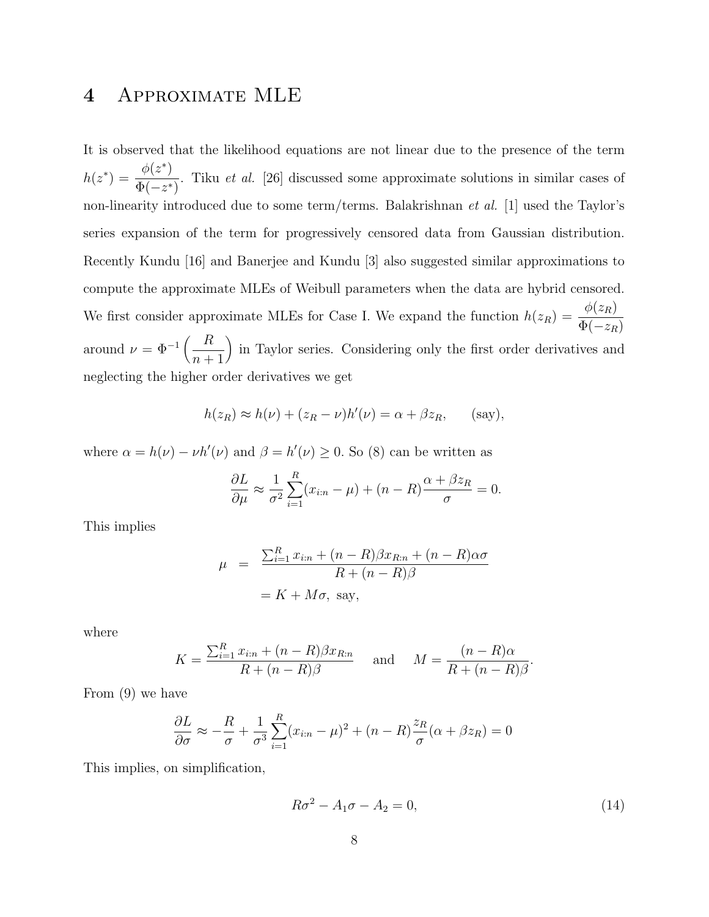### 4 Approximate MLE

It is observed that the likelihood equations are not linear due to the presence of the term  $h(z^*) =$  $\phi(z^*)$  $\Phi(-z^*)$ . Tiku et al. [26] discussed some approximate solutions in similar cases of non-linearity introduced due to some term/terms. Balakrishnan et al. [1] used the Taylor's series expansion of the term for progressively censored data from Gaussian distribution. Recently Kundu [16] and Banerjee and Kundu [3] also suggested similar approximations to compute the approximate MLEs of Weibull parameters when the data are hybrid censored. We first consider approximate MLEs for Case I. We expand the function  $h(z_R)$  =  $\phi(z_R)$  $\Phi(-z_R)$ around  $\nu = \Phi^{-1}\left(\frac{R}{\mu}\right)$  $n+1$ ¶ in Taylor series. Considering only the first order derivatives and neglecting the higher order derivatives we get

$$
h(z_R) \approx h(\nu) + (z_R - \nu)h'(\nu) = \alpha + \beta z_R, \quad \text{(say)},
$$

where  $\alpha = h(\nu) - \nu h'(\nu)$  and  $\beta = h'(\nu) \ge 0$ . So (8) can be written as

$$
\frac{\partial L}{\partial \mu} \approx \frac{1}{\sigma^2} \sum_{i=1}^R (x_{i:n} - \mu) + (n - R) \frac{\alpha + \beta z_R}{\sigma} = 0.
$$

This implies

$$
\mu = \frac{\sum_{i=1}^{R} x_{i:n} + (n - R)\beta x_{R:n} + (n - R)\alpha\sigma}{R + (n - R)\beta}
$$

$$
= K + M\sigma, \text{ say,}
$$

where

$$
K = \frac{\sum_{i=1}^{R} x_{i:n} + (n - R)\beta x_{R:n}}{R + (n - R)\beta} \quad \text{and} \quad M = \frac{(n - R)\alpha}{R + (n - R)\beta}.
$$

From (9) we have

$$
\frac{\partial L}{\partial \sigma} \approx -\frac{R}{\sigma} + \frac{1}{\sigma^3} \sum_{i=1}^R (x_{i:n} - \mu)^2 + (n - R) \frac{z_R}{\sigma} (\alpha + \beta z_R) = 0
$$

This implies, on simplification,

$$
R\sigma^2 - A_1\sigma - A_2 = 0,\t\t(14)
$$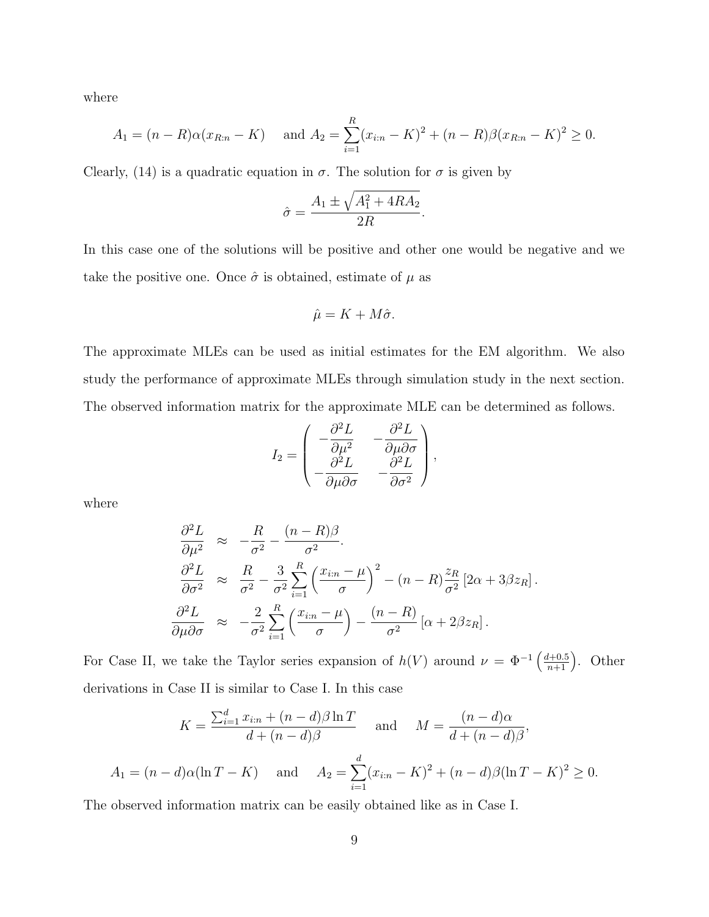where

$$
A_1 = (n - R)\alpha(x_{R:n} - K) \quad \text{and } A_2 = \sum_{i=1}^R (x_{i:n} - K)^2 + (n - R)\beta(x_{R:n} - K)^2 \ge 0.
$$

Clearly, (14) is a quadratic equation in  $\sigma$ . The solution for  $\sigma$  is given by

$$
\hat{\sigma} = \frac{A_1 \pm \sqrt{A_1^2 + 4RA_2}}{2R}.
$$

In this case one of the solutions will be positive and other one would be negative and we take the positive one. Once  $\hat{\sigma}$  is obtained, estimate of  $\mu$  as

$$
\hat{\mu} = K + M\hat{\sigma}.
$$

The approximate MLEs can be used as initial estimates for the EM algorithm. We also study the performance of approximate MLEs through simulation study in the next section. The observed information matrix for the approximate MLE can be determined as follows.

$$
I_2 = \begin{pmatrix} -\frac{\partial^2 L}{\partial \mu^2} & -\frac{\partial^2 L}{\partial \mu \partial \sigma} \\ -\frac{\partial^2 L}{\partial \mu \partial \sigma} & -\frac{\partial^2 L}{\partial \sigma^2} \end{pmatrix},
$$

where

$$
\frac{\partial^2 L}{\partial \mu^2} \approx -\frac{R}{\sigma^2} - \frac{(n - R)\beta}{\sigma^2}.
$$
  

$$
\frac{\partial^2 L}{\partial \sigma^2} \approx \frac{R}{\sigma^2} - \frac{3}{\sigma^2} \sum_{i=1}^R \left(\frac{x_{i:n} - \mu}{\sigma}\right)^2 - (n - R)\frac{z_R}{\sigma^2} [2\alpha + 3\beta z_R].
$$
  

$$
\frac{\partial^2 L}{\partial \mu \partial \sigma} \approx -\frac{2}{\sigma^2} \sum_{i=1}^R \left(\frac{x_{i:n} - \mu}{\sigma}\right) - \frac{(n - R)}{\sigma^2} [\alpha + 2\beta z_R].
$$

For Case II, we take the Taylor series expansion of  $h(V)$  around  $\nu = \Phi^{-1}\left(\frac{d+0.5}{n+1}\right)$ . Other derivations in Case II is similar to Case I. In this case

$$
K = \frac{\sum_{i=1}^{d} x_{i:n} + (n-d)\beta \ln T}{d + (n-d)\beta} \quad \text{and} \quad M = \frac{(n-d)\alpha}{d + (n-d)\beta},
$$
  

$$
A_1 = (n-d)\alpha(\ln T - K) \quad \text{and} \quad A_2 = \sum_{i=1}^{d} (x_{i:n} - K)^2 + (n-d)\beta(\ln T - K)^2 \ge 0.
$$

The observed information matrix can be easily obtained like as in Case I.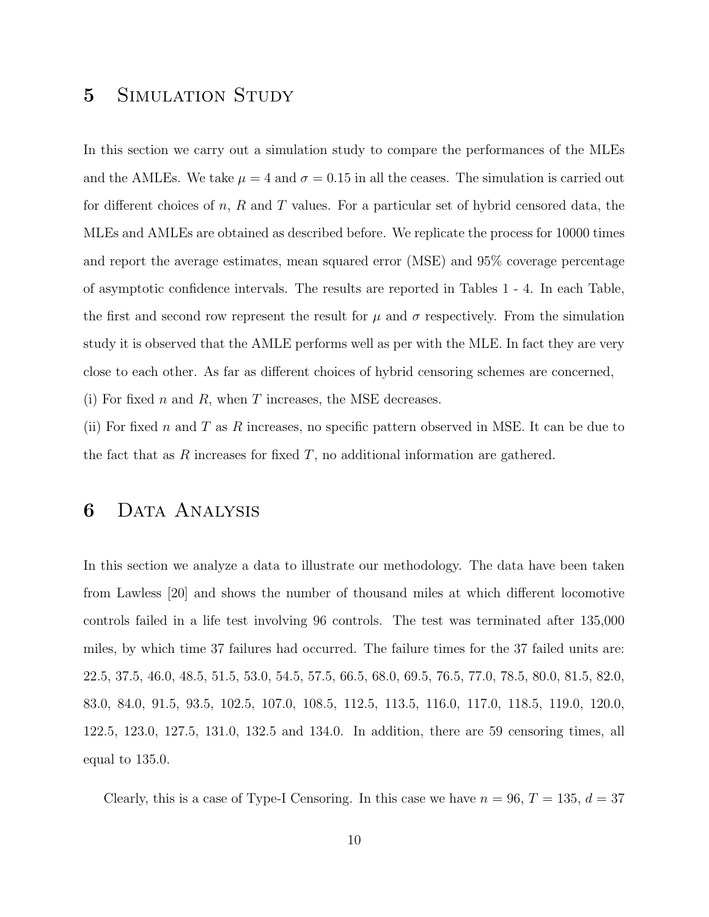#### 5 SIMULATION STUDY

In this section we carry out a simulation study to compare the performances of the MLEs and the AMLEs. We take  $\mu = 4$  and  $\sigma = 0.15$  in all the ceases. The simulation is carried out for different choices of n, R and T values. For a particular set of hybrid censored data, the MLEs and AMLEs are obtained as described before. We replicate the process for 10000 times and report the average estimates, mean squared error (MSE) and 95% coverage percentage of asymptotic confidence intervals. The results are reported in Tables 1 - 4. In each Table, the first and second row represent the result for  $\mu$  and  $\sigma$  respectively. From the simulation study it is observed that the AMLE performs well as per with the MLE. In fact they are very close to each other. As far as different choices of hybrid censoring schemes are concerned, (i) For fixed n and R, when T increases, the MSE decreases.

(ii) For fixed n and T as R increases, no specific pattern observed in MSE. It can be due to the fact that as R increases for fixed  $T$ , no additional information are gathered.

#### 6 Data Analysis

In this section we analyze a data to illustrate our methodology. The data have been taken from Lawless [20] and shows the number of thousand miles at which different locomotive controls failed in a life test involving 96 controls. The test was terminated after 135,000 miles, by which time 37 failures had occurred. The failure times for the 37 failed units are: 22.5, 37.5, 46.0, 48.5, 51.5, 53.0, 54.5, 57.5, 66.5, 68.0, 69.5, 76.5, 77.0, 78.5, 80.0, 81.5, 82.0, 83.0, 84.0, 91.5, 93.5, 102.5, 107.0, 108.5, 112.5, 113.5, 116.0, 117.0, 118.5, 119.0, 120.0, 122.5, 123.0, 127.5, 131.0, 132.5 and 134.0. In addition, there are 59 censoring times, all equal to 135.0.

Clearly, this is a case of Type-I Censoring. In this case we have  $n = 96, T = 135, d = 37$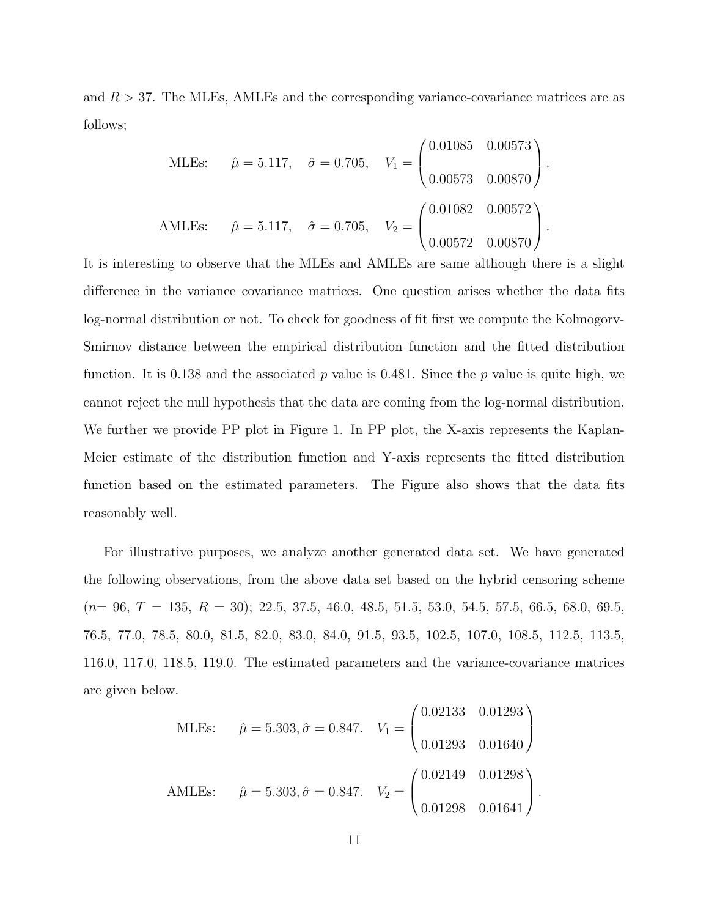and  $R > 37$ . The MLEs, AMLEs and the corresponding variance-covariance matrices are as follows;

$$
\text{MLEs:} \quad \hat{\mu} = 5.117, \quad \hat{\sigma} = 0.705, \quad V_1 = \begin{pmatrix} 0.01085 & 0.00573 \\ 0.00573 & 0.00870 \end{pmatrix}.
$$
\n
$$
\text{AMEEs:} \quad \hat{\mu} = 5.117, \quad \hat{\sigma} = 0.705, \quad V_2 = \begin{pmatrix} 0.01082 & 0.00572 \\ 0.00572 & 0.00870 \end{pmatrix}.
$$

It is interesting to observe that the MLEs and AMLEs are same although there is a slight difference in the variance covariance matrices. One question arises whether the data fits log-normal distribution or not. To check for goodness of fit first we compute the Kolmogorv-Smirnov distance between the empirical distribution function and the fitted distribution function. It is 0.138 and the associated  $p$  value is 0.481. Since the  $p$  value is quite high, we cannot reject the null hypothesis that the data are coming from the log-normal distribution. We further we provide PP plot in Figure 1. In PP plot, the X-axis represents the Kaplan-Meier estimate of the distribution function and Y-axis represents the fitted distribution function based on the estimated parameters. The Figure also shows that the data fits reasonably well.

For illustrative purposes, we analyze another generated data set. We have generated the following observations, from the above data set based on the hybrid censoring scheme  $(n= 96, T = 135, R = 30); 22.5, 37.5, 46.0, 48.5, 51.5, 53.0, 54.5, 57.5, 66.5, 68.0, 69.5,$ 76.5, 77.0, 78.5, 80.0, 81.5, 82.0, 83.0, 84.0, 91.5, 93.5, 102.5, 107.0, 108.5, 112.5, 113.5, 116.0, 117.0, 118.5, 119.0. The estimated parameters and the variance-covariance matrices are given below.

MLEs: 
$$
\hat{\mu} = 5.303, \hat{\sigma} = 0.847.
$$
  $V_1 = \begin{pmatrix} 0.02133 & 0.01293 \\ 0.01293 & 0.01640 \end{pmatrix}$   
AMEs:  $\hat{\mu} = 5.303, \hat{\sigma} = 0.847.$   $V_2 = \begin{pmatrix} 0.02149 & 0.01298 \\ 0.01298 & 0.01641 \end{pmatrix}.$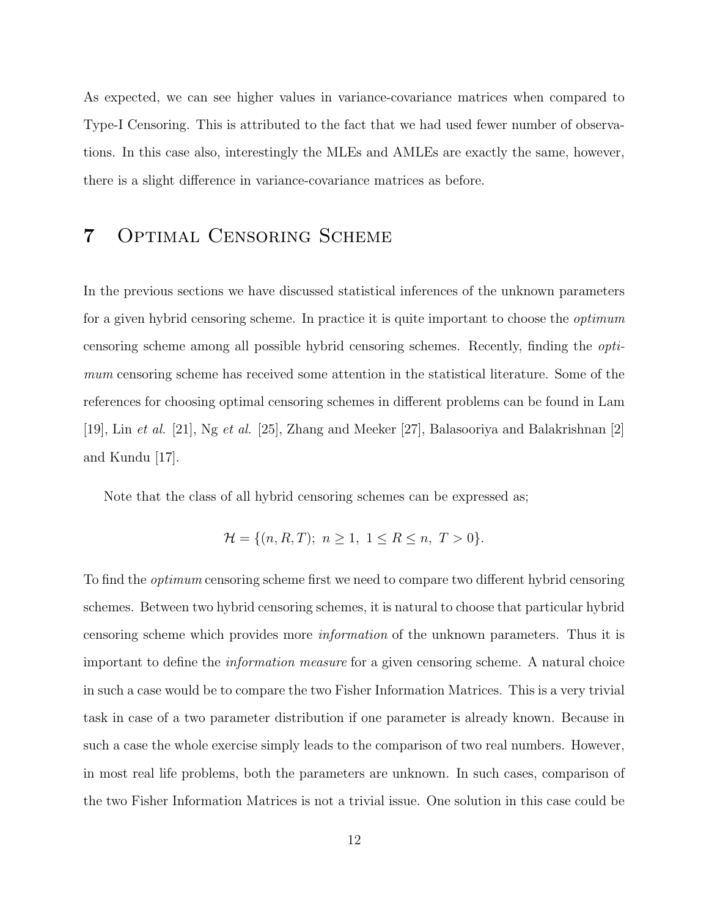As expected, we can see higher values in variance-covariance matrices when compared to Type-I Censoring. This is attributed to the fact that we had used fewer number of observations. In this case also, interestingly the MLEs and AMLEs are exactly the same, however, there is a slight difference in variance-covariance matrices as before.

## 7 Optimal Censoring Scheme

In the previous sections we have discussed statistical inferences of the unknown parameters for a given hybrid censoring scheme. In practice it is quite important to choose the *optimum* censoring scheme among all possible hybrid censoring schemes. Recently, finding the optimum censoring scheme has received some attention in the statistical literature. Some of the references for choosing optimal censoring schemes in different problems can be found in Lam [19], Lin et al. [21], Ng et al. [25], Zhang and Meeker [27], Balasooriya and Balakrishnan [2] and Kundu [17].

Note that the class of all hybrid censoring schemes can be expressed as;

$$
\mathcal{H} = \{ (n, R, T); \ n \ge 1, \ 1 \le R \le n, \ T > 0 \}.
$$

To find the optimum censoring scheme first we need to compare two different hybrid censoring schemes. Between two hybrid censoring schemes, it is natural to choose that particular hybrid censoring scheme which provides more information of the unknown parameters. Thus it is important to define the information measure for a given censoring scheme. A natural choice in such a case would be to compare the two Fisher Information Matrices. This is a very trivial task in case of a two parameter distribution if one parameter is already known. Because in such a case the whole exercise simply leads to the comparison of two real numbers. However, in most real life problems, both the parameters are unknown. In such cases, comparison of the two Fisher Information Matrices is not a trivial issue. One solution in this case could be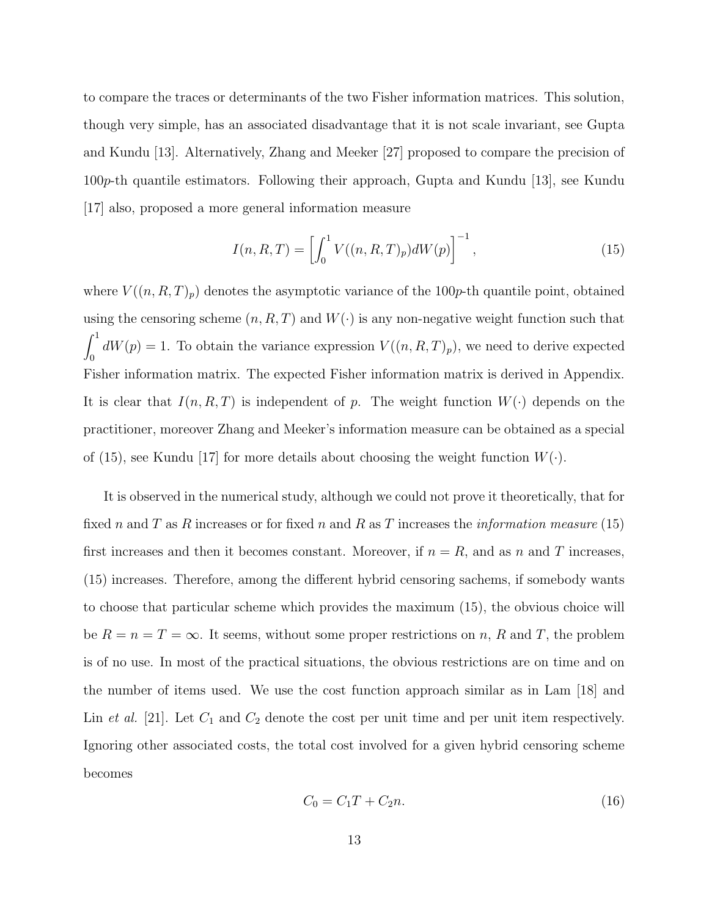to compare the traces or determinants of the two Fisher information matrices. This solution, though very simple, has an associated disadvantage that it is not scale invariant, see Gupta and Kundu [13]. Alternatively, Zhang and Meeker [27] proposed to compare the precision of 100p-th quantile estimators. Following their approach, Gupta and Kundu [13], see Kundu [17] also, proposed a more general information measure

$$
I(n, R, T) = \left[ \int_0^1 V((n, R, T)_p) dW(p) \right]^{-1}, \tag{15}
$$

where  $V((n, R, T)_p)$  denotes the asymptotic variance of the 100p-th quantile point, obtained using the censoring scheme  $(n, R, T)$  and  $W(\cdot)$  is any non-negative weight function such that  $\int_1^1$  $\binom{dW(p)}{dW(p)} = 1$ . To obtain the variance expression  $V((n, R, T)_p)$ , we need to derive expected Fisher information matrix. The expected Fisher information matrix is derived in Appendix. It is clear that  $I(n, R, T)$  is independent of p. The weight function  $W(\cdot)$  depends on the practitioner, moreover Zhang and Meeker's information measure can be obtained as a special of (15), see Kundu [17] for more details about choosing the weight function  $W(\cdot)$ .

It is observed in the numerical study, although we could not prove it theoretically, that for fixed n and T as R increases or for fixed n and R as T increases the *information measure* (15) first increases and then it becomes constant. Moreover, if  $n = R$ , and as n and T increases, (15) increases. Therefore, among the different hybrid censoring sachems, if somebody wants to choose that particular scheme which provides the maximum (15), the obvious choice will be  $R = n = T = \infty$ . It seems, without some proper restrictions on n, R and T, the problem is of no use. In most of the practical situations, the obvious restrictions are on time and on the number of items used. We use the cost function approach similar as in Lam [18] and Lin et al. [21]. Let  $C_1$  and  $C_2$  denote the cost per unit time and per unit item respectively. Ignoring other associated costs, the total cost involved for a given hybrid censoring scheme becomes

$$
C_0 = C_1 T + C_2 n. \t\t(16)
$$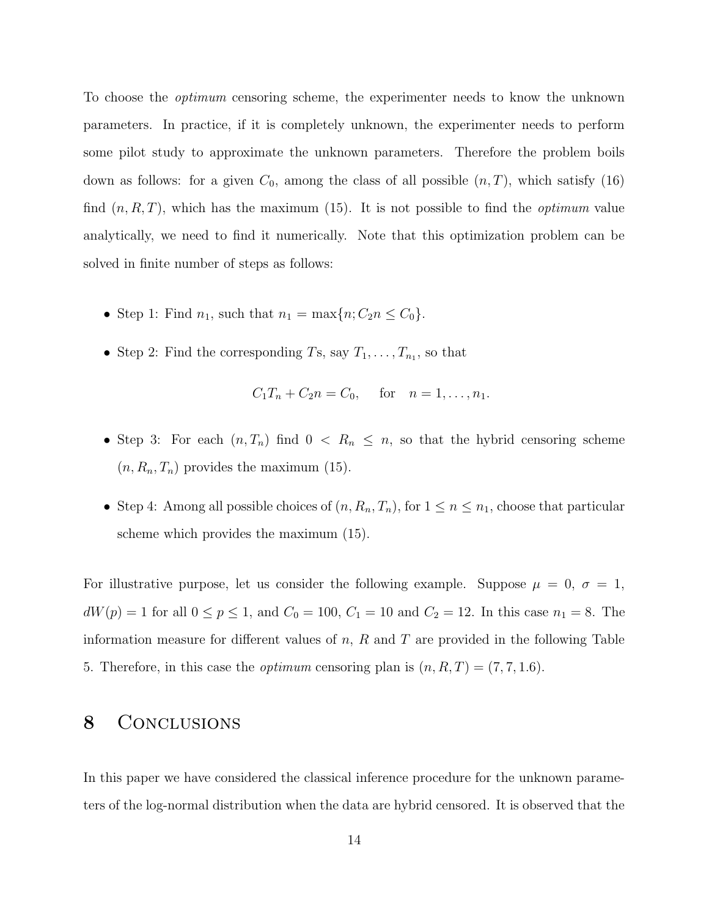To choose the optimum censoring scheme, the experimenter needs to know the unknown parameters. In practice, if it is completely unknown, the experimenter needs to perform some pilot study to approximate the unknown parameters. Therefore the problem boils down as follows: for a given  $C_0$ , among the class of all possible  $(n, T)$ , which satisfy (16) find  $(n, R, T)$ , which has the maximum (15). It is not possible to find the *optimum* value analytically, we need to find it numerically. Note that this optimization problem can be solved in finite number of steps as follows:

- Step 1: Find  $n_1$ , such that  $n_1 = \max\{n; C_2 n \le C_0\}.$
- Step 2: Find the corresponding  $T_s$ , say  $T_1, \ldots, T_{n_1}$ , so that

$$
C_1T_n + C_2n = C_0
$$
, for  $n = 1, ..., n_1$ .

- Step 3: For each  $(n, T_n)$  find  $0 \leq R_n \leq n$ , so that the hybrid censoring scheme  $(n, R_n, T_n)$  provides the maximum (15).
- Step 4: Among all possible choices of  $(n, R_n, T_n)$ , for  $1 \le n \le n_1$ , choose that particular scheme which provides the maximum (15).

For illustrative purpose, let us consider the following example. Suppose  $\mu = 0, \sigma = 1$ ,  $dW(p) = 1$  for all  $0 \le p \le 1$ , and  $C_0 = 100$ ,  $C_1 = 10$  and  $C_2 = 12$ . In this case  $n_1 = 8$ . The information measure for different values of  $n$ ,  $R$  and  $T$  are provided in the following Table 5. Therefore, in this case the *optimum* censoring plan is  $(n, R, T) = (7, 7, 1.6)$ .

#### 8 CONCLUSIONS

In this paper we have considered the classical inference procedure for the unknown parameters of the log-normal distribution when the data are hybrid censored. It is observed that the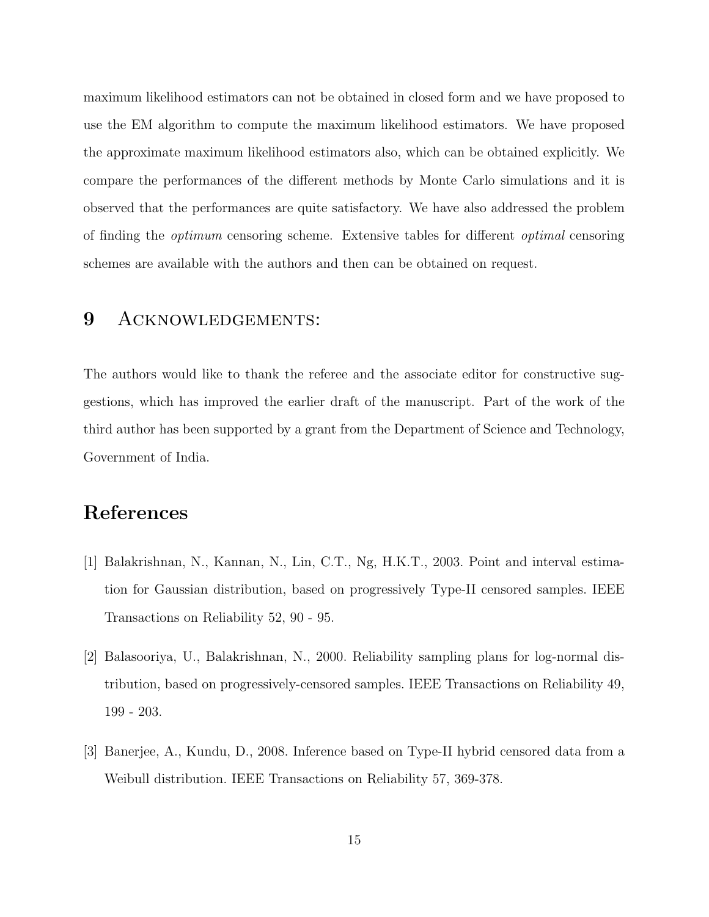maximum likelihood estimators can not be obtained in closed form and we have proposed to use the EM algorithm to compute the maximum likelihood estimators. We have proposed the approximate maximum likelihood estimators also, which can be obtained explicitly. We compare the performances of the different methods by Monte Carlo simulations and it is observed that the performances are quite satisfactory. We have also addressed the problem of finding the optimum censoring scheme. Extensive tables for different optimal censoring schemes are available with the authors and then can be obtained on request.

#### 9 ACKNOWLEDGEMENTS:

The authors would like to thank the referee and the associate editor for constructive suggestions, which has improved the earlier draft of the manuscript. Part of the work of the third author has been supported by a grant from the Department of Science and Technology, Government of India.

### References

- [1] Balakrishnan, N., Kannan, N., Lin, C.T., Ng, H.K.T., 2003. Point and interval estimation for Gaussian distribution, based on progressively Type-II censored samples. IEEE Transactions on Reliability 52, 90 - 95.
- [2] Balasooriya, U., Balakrishnan, N., 2000. Reliability sampling plans for log-normal distribution, based on progressively-censored samples. IEEE Transactions on Reliability 49, 199 - 203.
- [3] Banerjee, A., Kundu, D., 2008. Inference based on Type-II hybrid censored data from a Weibull distribution. IEEE Transactions on Reliability 57, 369-378.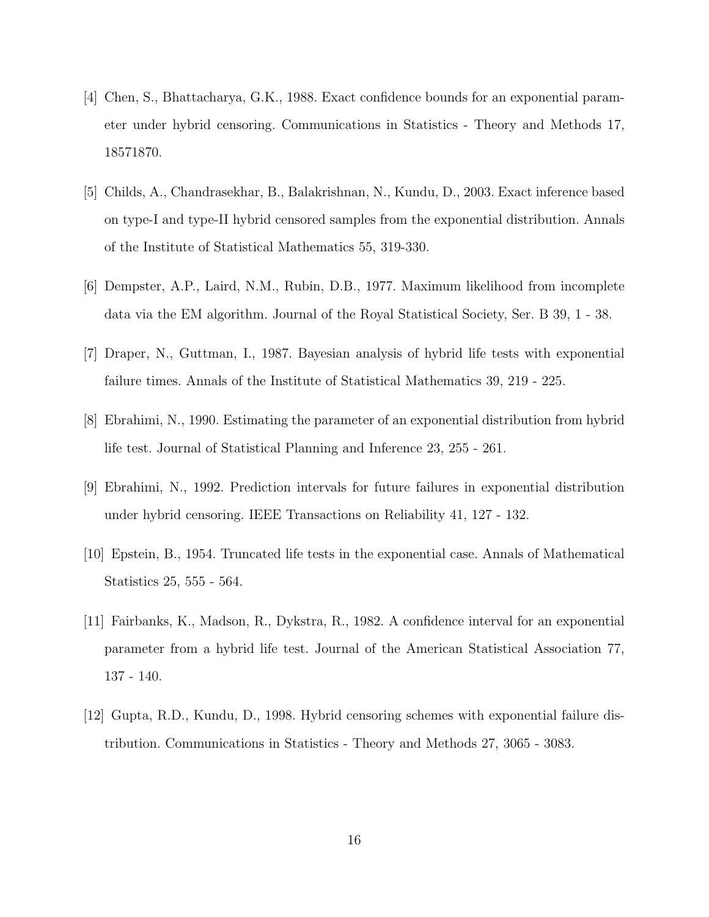- [4] Chen, S., Bhattacharya, G.K., 1988. Exact confidence bounds for an exponential parameter under hybrid censoring. Communications in Statistics - Theory and Methods 17, 18571870.
- [5] Childs, A., Chandrasekhar, B., Balakrishnan, N., Kundu, D., 2003. Exact inference based on type-I and type-II hybrid censored samples from the exponential distribution. Annals of the Institute of Statistical Mathematics 55, 319-330.
- [6] Dempster, A.P., Laird, N.M., Rubin, D.B., 1977. Maximum likelihood from incomplete data via the EM algorithm. Journal of the Royal Statistical Society, Ser. B 39, 1 - 38.
- [7] Draper, N., Guttman, I., 1987. Bayesian analysis of hybrid life tests with exponential failure times. Annals of the Institute of Statistical Mathematics 39, 219 - 225.
- [8] Ebrahimi, N., 1990. Estimating the parameter of an exponential distribution from hybrid life test. Journal of Statistical Planning and Inference 23, 255 - 261.
- [9] Ebrahimi, N., 1992. Prediction intervals for future failures in exponential distribution under hybrid censoring. IEEE Transactions on Reliability 41, 127 - 132.
- [10] Epstein, B., 1954. Truncated life tests in the exponential case. Annals of Mathematical Statistics 25, 555 - 564.
- [11] Fairbanks, K., Madson, R., Dykstra, R., 1982. A confidence interval for an exponential parameter from a hybrid life test. Journal of the American Statistical Association 77, 137 - 140.
- [12] Gupta, R.D., Kundu, D., 1998. Hybrid censoring schemes with exponential failure distribution. Communications in Statistics - Theory and Methods 27, 3065 - 3083.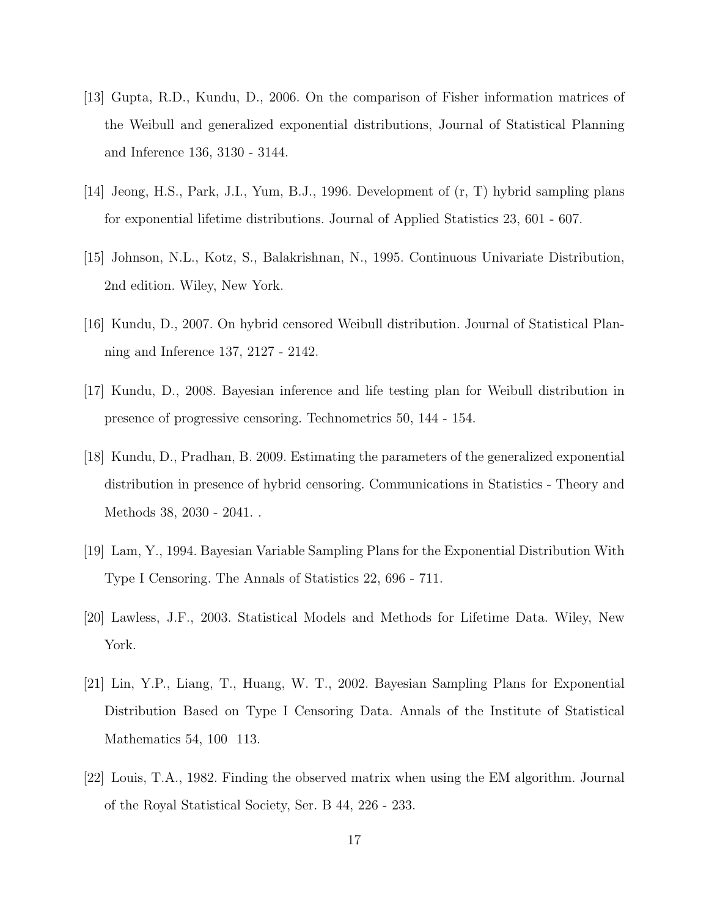- [13] Gupta, R.D., Kundu, D., 2006. On the comparison of Fisher information matrices of the Weibull and generalized exponential distributions, Journal of Statistical Planning and Inference 136, 3130 - 3144.
- [14] Jeong, H.S., Park, J.I., Yum, B.J., 1996. Development of (r, T) hybrid sampling plans for exponential lifetime distributions. Journal of Applied Statistics 23, 601 - 607.
- [15] Johnson, N.L., Kotz, S., Balakrishnan, N., 1995. Continuous Univariate Distribution, 2nd edition. Wiley, New York.
- [16] Kundu, D., 2007. On hybrid censored Weibull distribution. Journal of Statistical Planning and Inference 137, 2127 - 2142.
- [17] Kundu, D., 2008. Bayesian inference and life testing plan for Weibull distribution in presence of progressive censoring. Technometrics 50, 144 - 154.
- [18] Kundu, D., Pradhan, B. 2009. Estimating the parameters of the generalized exponential distribution in presence of hybrid censoring. Communications in Statistics - Theory and Methods 38, 2030 - 2041. .
- [19] Lam, Y., 1994. Bayesian Variable Sampling Plans for the Exponential Distribution With Type I Censoring. The Annals of Statistics 22, 696 - 711.
- [20] Lawless, J.F., 2003. Statistical Models and Methods for Lifetime Data. Wiley, New York.
- [21] Lin, Y.P., Liang, T., Huang, W. T., 2002. Bayesian Sampling Plans for Exponential Distribution Based on Type I Censoring Data. Annals of the Institute of Statistical Mathematics 54, 100 113.
- [22] Louis, T.A., 1982. Finding the observed matrix when using the EM algorithm. Journal of the Royal Statistical Society, Ser. B 44, 226 - 233.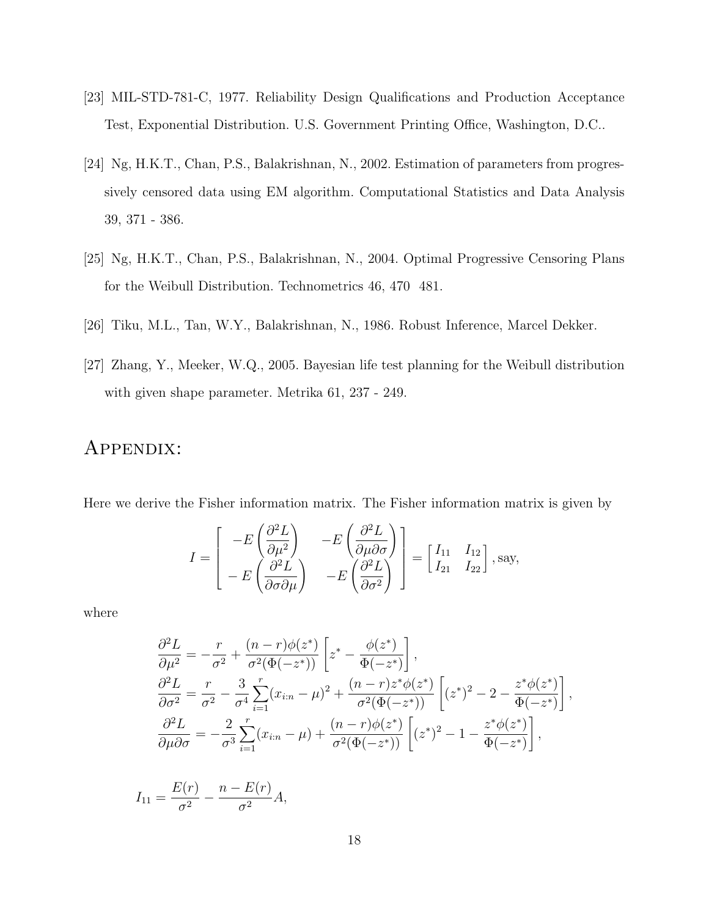- [23] MIL-STD-781-C, 1977. Reliability Design Qualifications and Production Acceptance Test, Exponential Distribution. U.S. Government Printing Office, Washington, D.C..
- [24] Ng, H.K.T., Chan, P.S., Balakrishnan, N., 2002. Estimation of parameters from progressively censored data using EM algorithm. Computational Statistics and Data Analysis 39, 371 - 386.
- [25] Ng, H.K.T., Chan, P.S., Balakrishnan, N., 2004. Optimal Progressive Censoring Plans for the Weibull Distribution. Technometrics 46, 470 481.
- [26] Tiku, M.L., Tan, W.Y., Balakrishnan, N., 1986. Robust Inference, Marcel Dekker.
- [27] Zhang, Y., Meeker, W.Q., 2005. Bayesian life test planning for the Weibull distribution with given shape parameter. Metrika 61, 237 - 249.

### APPENDIX:

Here we derive the Fisher information matrix. The Fisher information matrix is given by

$$
I = \begin{bmatrix} -E\left(\frac{\partial^2 L}{\partial \mu^2}\right) & -E\left(\frac{\partial^2 L}{\partial \mu \partial \sigma}\right) \\ -E\left(\frac{\partial^2 L}{\partial \sigma \partial \mu}\right) & -E\left(\frac{\partial^2 L}{\partial \sigma^2}\right) \end{bmatrix} = \begin{bmatrix} I_{11} & I_{12} \\ I_{21} & I_{22} \end{bmatrix}, \text{say},
$$

where

$$
\frac{\partial^2 L}{\partial \mu^2} = -\frac{r}{\sigma^2} + \frac{(n-r)\phi(z^*)}{\sigma^2(\Phi(-z^*))} \left[ z^* - \frac{\phi(z^*)}{\Phi(-z^*)} \right],
$$
  
\n
$$
\frac{\partial^2 L}{\partial \sigma^2} = \frac{r}{\sigma^2} - \frac{3}{\sigma^4} \sum_{i=1}^r (x_{i:n} - \mu)^2 + \frac{(n-r)z^*\phi(z^*)}{\sigma^2(\Phi(-z^*))} \left[ (z^*)^2 - 2 - \frac{z^*\phi(z^*)}{\Phi(-z^*)} \right],
$$
  
\n
$$
\frac{\partial^2 L}{\partial \mu \partial \sigma} = -\frac{2}{\sigma^3} \sum_{i=1}^r (x_{i:n} - \mu) + \frac{(n-r)\phi(z^*)}{\sigma^2(\Phi(-z^*))} \left[ (z^*)^2 - 1 - \frac{z^*\phi(z^*)}{\Phi(-z^*)} \right],
$$

$$
I_{11} = \frac{E(r)}{\sigma^2} - \frac{n - E(r)}{\sigma^2} A,
$$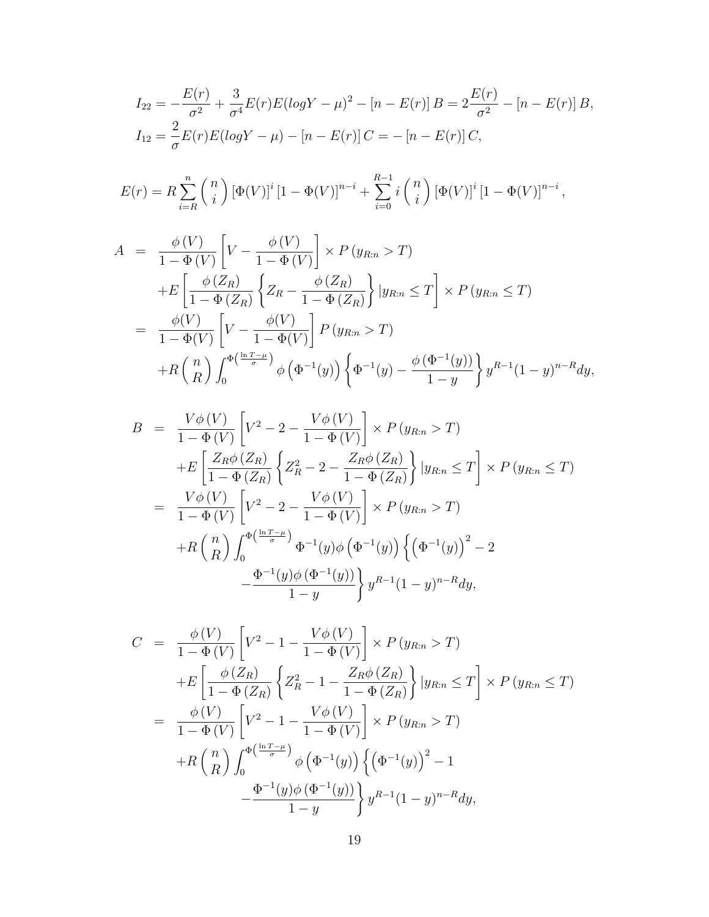$$
I_{22} = -\frac{E(r)}{\sigma^2} + \frac{3}{\sigma^4} E(r) E(logY - \mu)^2 - [n - E(r)] B = 2\frac{E(r)}{\sigma^2} - [n - E(r)] B,
$$
  
\n
$$
I_{12} = \frac{2}{\sigma} E(r) E(logY - \mu) - [n - E(r)] C = -[n - E(r)] C,
$$

$$
E(r) = R \sum_{i=R}^{n} {n \choose i} [\Phi(V)]^{i} [1 - \Phi(V)]^{n-i} + \sum_{i=0}^{R-1} i {n \choose i} [\Phi(V)]^{i} [1 - \Phi(V)]^{n-i},
$$

$$
A = \frac{\phi(V)}{1 - \Phi(V)} \left[ V - \frac{\phi(V)}{1 - \Phi(V)} \right] \times P(y_{R:n} > T)
$$
  
+
$$
E \left[ \frac{\phi(Z_R)}{1 - \Phi(Z_R)} \left\{ Z_R - \frac{\phi(Z_R)}{1 - \Phi(Z_R)} \right\} | y_{R:n} \le T \right] \times P(y_{R:n} \le T)
$$
  
= 
$$
\frac{\phi(V)}{1 - \Phi(V)} \left[ V - \frac{\phi(V)}{1 - \Phi(V)} \right] P(y_{R:n} > T)
$$
  
+
$$
R {n \choose R} \int_0^{\Phi(\frac{\ln T - \mu}{\sigma})} \phi(\Phi^{-1}(y)) \left\{ \Phi^{-1}(y) - \frac{\phi(\Phi^{-1}(y))}{1 - y} \right\} y^{R-1} (1 - y)^{n - R} dy,
$$

$$
B = \frac{V\phi(V)}{1 - \Phi(V)} \left[ V^2 - 2 - \frac{V\phi(V)}{1 - \Phi(V)} \right] \times P(y_{R:n} > T)
$$
  
+
$$
E \left[ \frac{Z_R \phi(Z_R)}{1 - \Phi(Z_R)} \left\{ Z_R^2 - 2 - \frac{Z_R \phi(Z_R)}{1 - \Phi(Z_R)} \right\} | y_{R:n} \le T \right] \times P(y_{R:n} \le T)
$$
  
= 
$$
\frac{V\phi(V)}{1 - \Phi(V)} \left[ V^2 - 2 - \frac{V\phi(V)}{1 - \Phi(V)} \right] \times P(y_{R:n} > T)
$$
  
+
$$
R \left( \frac{n}{R} \right) \int_0^{\Phi(\frac{\ln T - \mu}{\sigma})} \Phi^{-1}(y) \phi(\Phi^{-1}(y)) \left\{ \left( \Phi^{-1}(y) \right)^2 - 2 - \frac{\Phi^{-1}(y) \phi(\Phi^{-1}(y))}{1 - y} \right\} y^{R-1} (1 - y)^{n - R} dy,
$$

$$
C = \frac{\phi(V)}{1 - \Phi(V)} \left[ V^2 - 1 - \frac{V\phi(V)}{1 - \Phi(V)} \right] \times P(y_{R:n} > T)
$$
  
+
$$
E \left[ \frac{\phi(Z_R)}{1 - \Phi(Z_R)} \left\{ Z_R^2 - 1 - \frac{Z_R \phi(Z_R)}{1 - \Phi(Z_R)} \right\} | y_{R:n} \le T \right] \times P(y_{R:n} \le T)
$$
  
= 
$$
\frac{\phi(V)}{1 - \Phi(V)} \left[ V^2 - 1 - \frac{V\phi(V)}{1 - \Phi(V)} \right] \times P(y_{R:n} > T)
$$
  
+
$$
R {n \choose R} \int_0^{\Phi(\frac{\ln T - \mu}{\sigma})} \phi(\Phi^{-1}(y)) \left\{ (\Phi^{-1}(y))^2 - 1 \right\}
$$
  

$$
- \frac{\Phi^{-1}(y)\phi(\Phi^{-1}(y))}{1 - y} \right\} y^{R-1} (1 - y)^{n - R} dy,
$$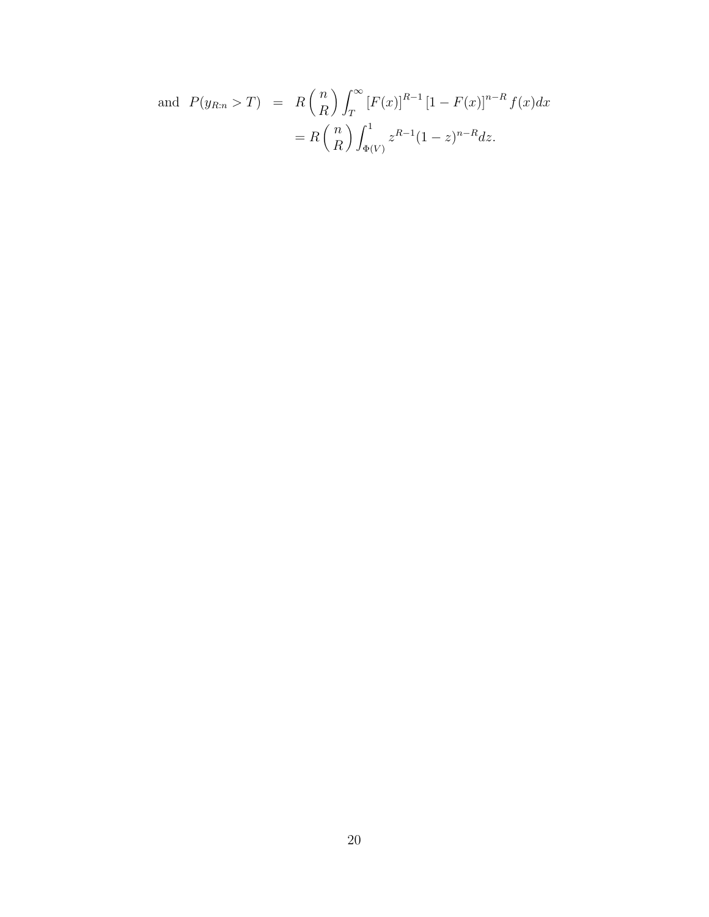and 
$$
P(y_{R:n} > T) = R {n \choose R} \int_{T}^{\infty} [F(x)]^{R-1} [1 - F(x)]^{n-R} f(x) dx
$$
  

$$
= R {n \choose R} \int_{\Phi(V)}^{1} z^{R-1} (1 - z)^{n-R} dz.
$$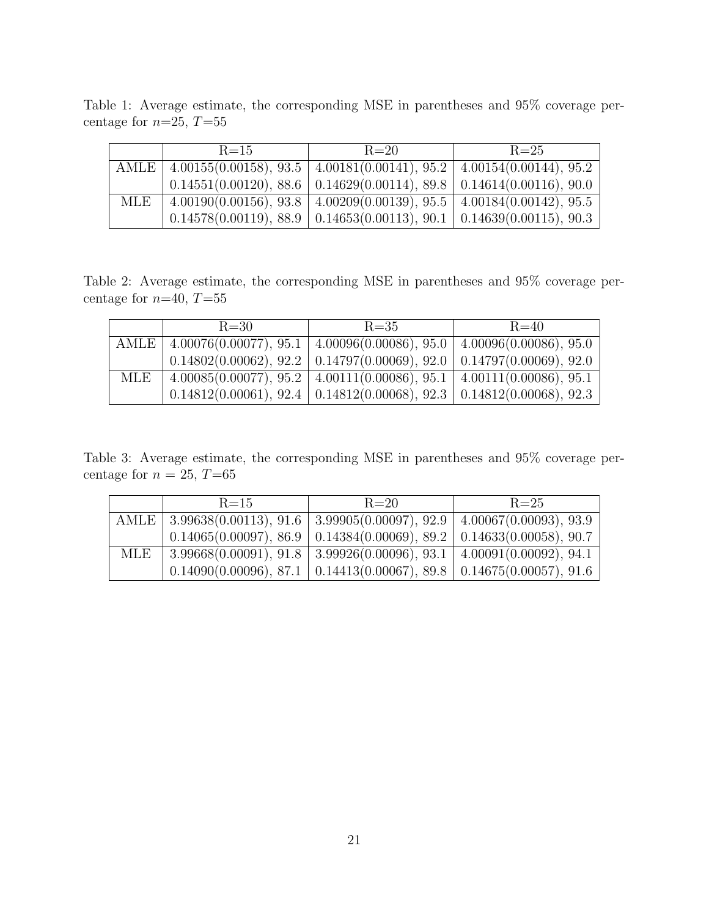Table 1: Average estimate, the corresponding MSE in parentheses and 95% coverage percentage for  $n=25$ ,  $T=55$ 

|            | $R = 15$                                                                                                          | $R=20$                                                                           | $R = 25$ |  |
|------------|-------------------------------------------------------------------------------------------------------------------|----------------------------------------------------------------------------------|----------|--|
|            | AMLE   $4.00155(0.00158), 93.5$   $4.00181(0.00141), 95.2$   $4.00154(0.00144), 95.2$                             |                                                                                  |          |  |
|            |                                                                                                                   | $0.14551(0.00120), 88.6 \mid 0.14629(0.00114), 89.8 \mid 0.14614(0.00116), 90.0$ |          |  |
| <b>MLE</b> | $\left[4.00190(0.00156), 93.8\right]$ $\left[4.00209(0.00139), 95.5\right]$ $\left[4.00184(0.00142), 95.5\right]$ |                                                                                  |          |  |
|            |                                                                                                                   | $0.14578(0.00119), 88.9 \mid 0.14653(0.00113), 90.1 \mid 0.14639(0.00115), 90.3$ |          |  |

Table 2: Average estimate, the corresponding MSE in parentheses and 95% coverage percentage for  $n=40, T=55$ 

|     | $R = 30$                                                                              | $R = 35$                                                                         | $R = 40$ |
|-----|---------------------------------------------------------------------------------------|----------------------------------------------------------------------------------|----------|
|     | AMLE   $4.00076(0.00077), 95.1$   $4.00096(0.00086), 95.0$   $4.00096(0.00086), 95.0$ |                                                                                  |          |
|     |                                                                                       | $0.14802(0.00062), 92.2 \mid 0.14797(0.00069), 92.0 \mid 0.14797(0.00069), 92.0$ |          |
| MLE |                                                                                       | $4.00085(0.00077), 95.2 \mid 4.00111(0.00086), 95.1 \mid 4.00111(0.00086), 95.1$ |          |
|     |                                                                                       | $0.14812(0.00061), 92.4 \mid 0.14812(0.00068), 92.3 \mid 0.14812(0.00068), 92.3$ |          |

Table 3: Average estimate, the corresponding MSE in parentheses and 95% coverage percentage for  $n = 25$ ,  $T=65$ 

|     | $R = 15$                                                                        | $R=20$                                                                           | $R = 25$ |
|-----|---------------------------------------------------------------------------------|----------------------------------------------------------------------------------|----------|
|     | AMLE   3.99638(0.00113), 91.6   3.99905(0.00097), 92.9   4.00067(0.00093), 93.9 |                                                                                  |          |
|     |                                                                                 | $0.14065(0.00097), 86.9 \mid 0.14384(0.00069), 89.2 \mid 0.14633(0.00058), 90.7$ |          |
| MLE |                                                                                 | $3.99668(0.00091), 91.8 \mid 3.99926(0.00096), 93.1 \mid 4.00091(0.00092), 94.1$ |          |
|     |                                                                                 | $0.14090(0.00096), 87.1 \mid 0.14413(0.00067), 89.8 \mid 0.14675(0.00057), 91.6$ |          |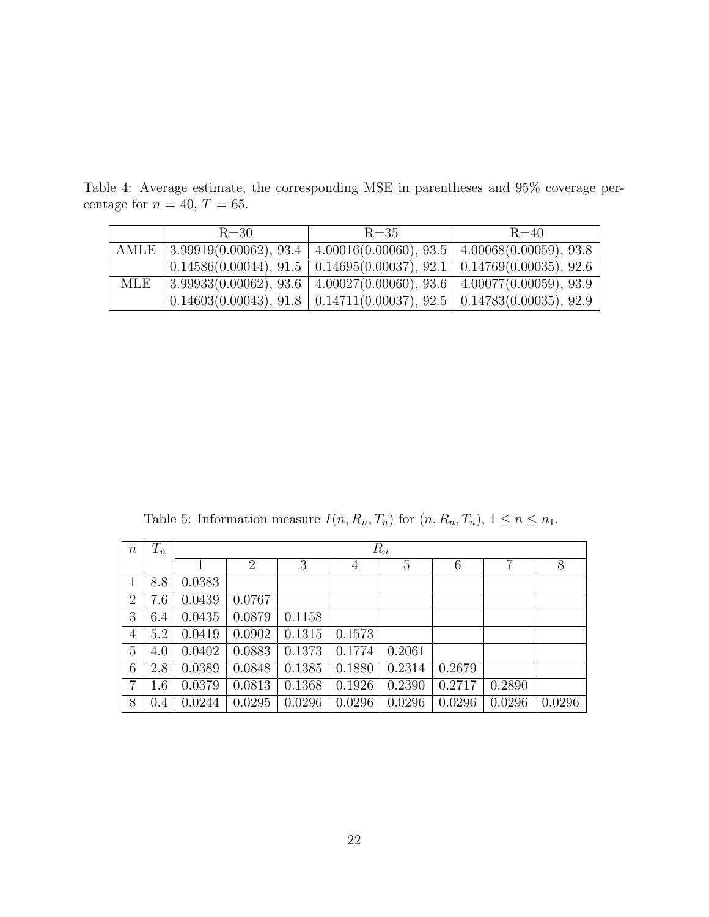Table 4: Average estimate, the corresponding MSE in parentheses and 95% coverage percentage for  $n = 40, T = 65$ .

|     | $R = 30$                                                                                 | $R = 35$                                                                         | $R = 40$ |
|-----|------------------------------------------------------------------------------------------|----------------------------------------------------------------------------------|----------|
|     | AMLE   3.99919(0.00062), 93.4   4.00016(0.00060), 93.5   4.00068(0.00059), 93.8          |                                                                                  |          |
|     |                                                                                          | $0.14586(0.00044), 91.5 \mid 0.14695(0.00037), 92.1 \mid 0.14769(0.00035), 92.6$ |          |
| MLE | $\boxed{3.99933(0.00062), 93.6 \mid 4.00027(0.00060), 93.6 \mid 4.00077(0.00059), 93.9}$ |                                                                                  |          |
|     |                                                                                          | $0.14603(0.00043), 91.8 \mid 0.14711(0.00037), 92.5 \mid 0.14783(0.00035), 92.9$ |          |

Table 5: Information measure  $I(n, R_n, T_n)$  for  $(n, R_n, T_n)$ ,  $1 \leq n \leq n_1$ .

| $\boldsymbol{n}$ | $T_n$ | $R_n$  |                |        |        |        |        |        |        |
|------------------|-------|--------|----------------|--------|--------|--------|--------|--------|--------|
|                  |       |        | $\overline{2}$ | 3      | 4      | 5      | 6      | 7      | 8      |
| 1                | 8.8   | 0.0383 |                |        |        |        |        |        |        |
| $\overline{2}$   | 7.6   | 0.0439 | 0.0767         |        |        |        |        |        |        |
| 3                | 6.4   | 0.0435 | 0.0879         | 0.1158 |        |        |        |        |        |
| 4                | 5.2   | 0.0419 | 0.0902         | 0.1315 | 0.1573 |        |        |        |        |
| $\overline{5}$   | 4.0   | 0.0402 | 0.0883         | 0.1373 | 0.1774 | 0.2061 |        |        |        |
| 6                | 2.8   | 0.0389 | 0.0848         | 0.1385 | 0.1880 | 0.2314 | 0.2679 |        |        |
| $\overline{7}$   | 1.6   | 0.0379 | 0.0813         | 0.1368 | 0.1926 | 0.2390 | 0.2717 | 0.2890 |        |
| 8                | 0.4   | 0.0244 | 0.0295         | 0.0296 | 0.0296 | 0.0296 | 0.0296 | 0.0296 | 0.0296 |